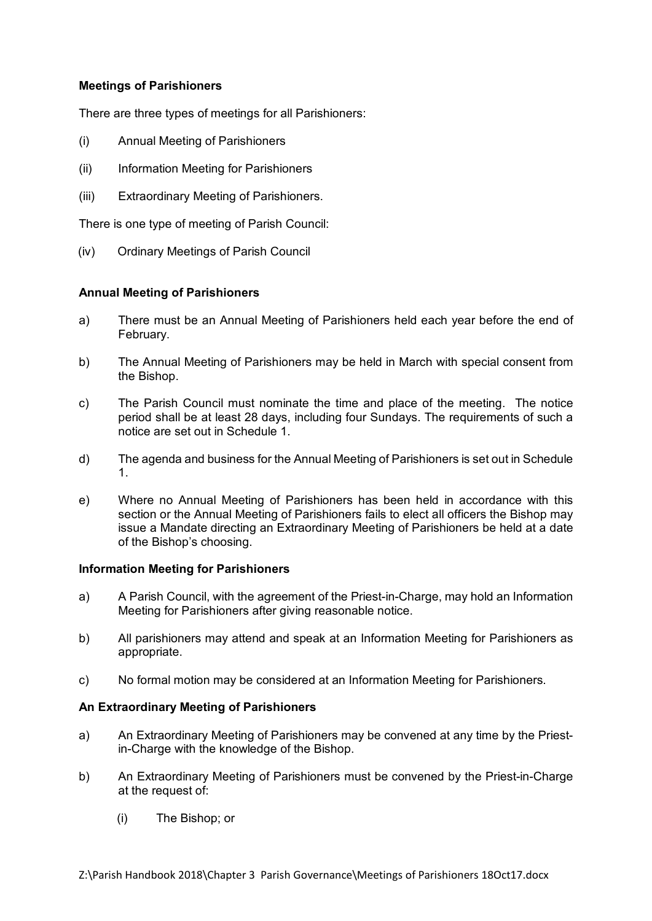## **Meetings of Parishioners**

There are three types of meetings for all Parishioners:

- (i) Annual Meeting of Parishioners
- (ii) Information Meeting for Parishioners
- (iii) Extraordinary Meeting of Parishioners.

There is one type of meeting of Parish Council:

(iv) Ordinary Meetings of Parish Council

## **Annual Meeting of Parishioners**

- a) There must be an Annual Meeting of Parishioners held each year before the end of February.
- b) The Annual Meeting of Parishioners may be held in March with special consent from the Bishop.
- c) The Parish Council must nominate the time and place of the meeting. The notice period shall be at least 28 days, including four Sundays. The requirements of such a notice are set out in Schedule 1.
- d) The agenda and business for the Annual Meeting of Parishioners is set out in Schedule 1.
- e) Where no Annual Meeting of Parishioners has been held in accordance with this section or the Annual Meeting of Parishioners fails to elect all officers the Bishop may issue a Mandate directing an Extraordinary Meeting of Parishioners be held at a date of the Bishop's choosing.

## **Information Meeting for Parishioners**

- a) A Parish Council, with the agreement of the Priest-in-Charge, may hold an Information Meeting for Parishioners after giving reasonable notice.
- b) All parishioners may attend and speak at an Information Meeting for Parishioners as appropriate.
- c) No formal motion may be considered at an Information Meeting for Parishioners.

## **An Extraordinary Meeting of Parishioners**

- a) An Extraordinary Meeting of Parishioners may be convened at any time by the Priestin-Charge with the knowledge of the Bishop.
- b) An Extraordinary Meeting of Parishioners must be convened by the Priest-in-Charge at the request of:
	- (i) The Bishop; or